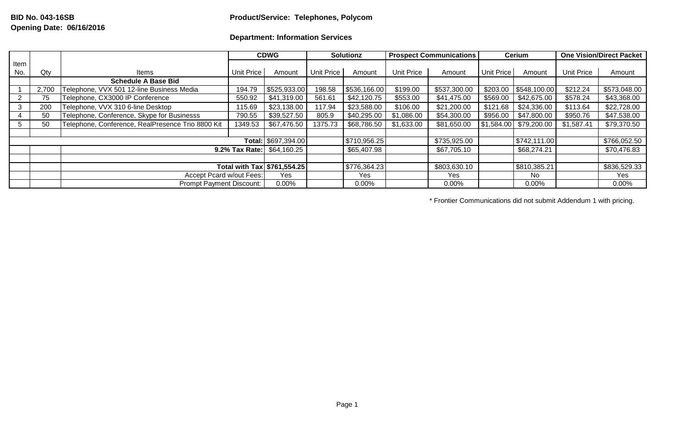## **Department: Information Services**

|                     |       |                                                   |                                   | <b>CDWG</b>  |                   | <b>Solutionz</b> | <b>Prospect Communications</b> |              | Cerium               |                                                | <b>One Vision/Direct Packet</b> |              |
|---------------------|-------|---------------------------------------------------|-----------------------------------|--------------|-------------------|------------------|--------------------------------|--------------|----------------------|------------------------------------------------|---------------------------------|--------------|
| Item                |       |                                                   |                                   |              |                   |                  |                                |              |                      |                                                |                                 |              |
| No.                 | Qty   | Items                                             | Unit Price                        | Amount       | <b>Unit Price</b> | Amount           | <b>Unit Price</b>              | Amount       | Unit Price<br>Amount |                                                | Unit Price                      | Amount       |
|                     |       | <b>Schedule A Base Bid</b>                        |                                   |              |                   |                  |                                |              |                      |                                                |                                 |              |
|                     | 2,700 | Telephone, VVX 501 12-line Business Media         | 194.79                            | \$525,933.00 | 198.58            | \$536,166.00     | \$199.00                       | \$537,300.00 |                      | \$203.00   \$548,100.00                        | \$212.24                        | \$573,048.00 |
|                     | 75    | Telephone, CX3000 IP Conference                   | 550.92                            | \$41,319.00  | 561.61            | \$42,120.75      | \$553.00                       | \$41,475.00  | \$569.00             | \$42,675.00                                    | \$578.24                        | \$43,368.00  |
|                     | 200   | Telephone, VVX 310 6-line Desktop                 | 115.69                            | \$23,138.00  | 117.94            | \$23,588.00      | \$106.00                       | \$21,200.00  | \$121.68             | \$24,336.00                                    | \$113.64                        | \$22,728.00  |
|                     | 50    | Telephone, Conference, Skype for Businesss        | 790.55                            | \$39,527.50  | 805.9             | \$40,295.00      | \$1,086.00                     | \$54,300.00  | \$956.00             | \$47,800.00                                    | \$950.76                        | \$47,538.00  |
|                     | 50    | Telephone, Conference, RealPresence Trio 8800 Kit | 1349.53                           | \$67,476.50  | 1375.73           | \$68,786.50      | \$1,633.00                     | \$81,650.00  |                      | $\overline{$1,584.00}$ $\overline{$79,200.00}$ | \$1,587.41                      | \$79,370.50  |
|                     |       |                                                   |                                   |              |                   |                  |                                |              |                      |                                                |                                 |              |
| Total: \$697,394.00 |       |                                                   |                                   |              |                   | \$710,956.25     |                                | \$735,925.00 |                      | \$742,111.00                                   |                                 | \$766,052.50 |
|                     |       |                                                   | <b>9.2% Tax Rate: \$64,160.25</b> |              | \$65,407.98       |                  | \$67,705.10                    |              | \$68,274.21          |                                                | \$70,476.83                     |              |
|                     |       |                                                   |                                   |              |                   |                  |                                |              |                      |                                                |                                 |              |
|                     |       |                                                   | Total with Tax   \$761,554.25     |              | \$776,364.23      |                  | \$803,630.10                   |              | \$810,385.21         |                                                | \$836,529.33                    |              |
|                     |       | Accept Pcard w/out Fees:                          | Yes                               |              | Yes               |                  | Yes                            |              | No                   |                                                | Yes                             |              |
|                     |       | <b>Prompt Payment Discount:</b>                   | 0.00%                             |              | $0.00\%$          |                  | 0.00%                          |              | 0.00%                |                                                | $0.00\%$                        |              |

\* Frontier Communications did not submit Addendum 1 with pricing.